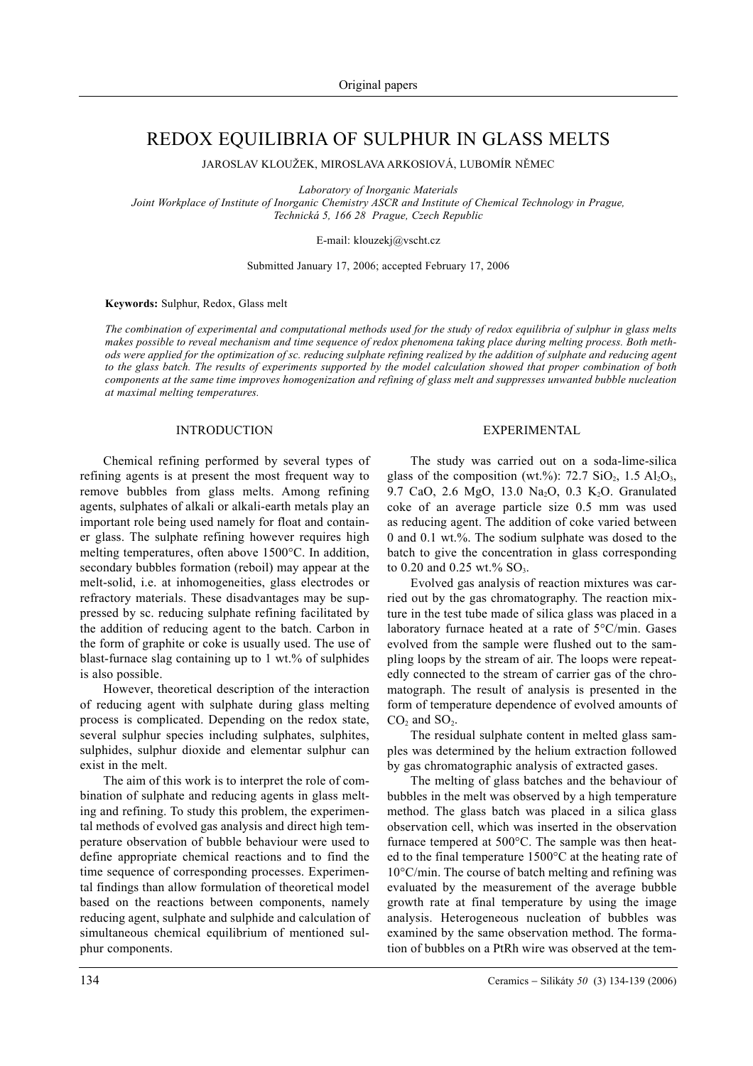# REDOX EQUILIBRIA OF SULPHUR IN GLASS MELTS

JAROSLAV KLOUŽEK, MIROSLAVA ARKOSIOVÁ, LUBOMÍR NÌMEC

*Laboratory of Inorganic Materials*

*Joint Workplace of Institute of Inorganic Chemistry ASCR and Institute of Chemical Technology in Prague, Technická 5, 166 28 Prague, Czech Republic*

E-mail: klouzekj@vscht.cz

Submitted January 17, 2006; accepted February 17, 2006

**Keywords:** Sulphur, Redox, Glass melt

*The combination of experimental and computational methods used for the study of redox equilibria of sulphur in glass melts makes possible to reveal mechanism and time sequence of redox phenomena taking place during melting process. Both methods were applied for the optimization of sc. reducing sulphate refining realized by the addition of sulphate and reducing agent to the glass batch. The results of experiments supported by the model calculation showed that proper combination of both components at the same time improves homogenization and refining of glass melt and suppresses unwanted bubble nucleation at maximal melting temperatures.*

## INTRODUCTION

Chemical refining performed by several types of refining agents is at present the most frequent way to remove bubbles from glass melts. Among refining agents, sulphates of alkali or alkali-earth metals play an important role being used namely for float and container glass. The sulphate refining however requires high melting temperatures, often above 1500°C. In addition, secondary bubbles formation (reboil) may appear at the melt-solid, i.e. at inhomogeneities, glass electrodes or refractory materials. These disadvantages may be suppressed by sc. reducing sulphate refining facilitated by the addition of reducing agent to the batch. Carbon in the form of graphite or coke is usually used. The use of blast-furnace slag containing up to 1 wt.% of sulphides is also possible.

However, theoretical description of the interaction of reducing agent with sulphate during glass melting process is complicated. Depending on the redox state, several sulphur species including sulphates, sulphites, sulphides, sulphur dioxide and elementar sulphur can exist in the melt.

The aim of this work is to interpret the role of combination of sulphate and reducing agents in glass melting and refining. To study this problem, the experimental methods of evolved gas analysis and direct high temperature observation of bubble behaviour were used to define appropriate chemical reactions and to find the time sequence of corresponding processes. Experimental findings than allow formulation of theoretical model based on the reactions between components, namely reducing agent, sulphate and sulphide and calculation of simultaneous chemical equilibrium of mentioned sulphur components.

#### EXPERIMENTAL

The study was carried out on a soda-lime-silica glass of the composition (wt.%): 72.7  $SiO_2$ , 1.5  $Al_2O_3$ , 9.7 CaO, 2.6 MgO, 13.0 Na<sub>2</sub>O, 0.3 K<sub>2</sub>O. Granulated coke of an average particle size 0.5 mm was used as reducing agent. The addition of coke varied between 0 and 0.1 wt.%. The sodium sulphate was dosed to the batch to give the concentration in glass corresponding to 0.20 and 0.25 wt.%  $SO_3$ .

Evolved gas analysis of reaction mixtures was carried out by the gas chromatography. The reaction mixture in the test tube made of silica glass was placed in a laboratory furnace heated at a rate of 5°C/min. Gases evolved from the sample were flushed out to the sampling loops by the stream of air. The loops were repeatedly connected to the stream of carrier gas of the chromatograph. The result of analysis is presented in the form of temperature dependence of evolved amounts of  $CO<sub>2</sub>$  and  $SO<sub>2</sub>$ .

The residual sulphate content in melted glass samples was determined by the helium extraction followed by gas chromatographic analysis of extracted gases.

The melting of glass batches and the behaviour of bubbles in the melt was observed by a high temperature method. The glass batch was placed in a silica glass observation cell, which was inserted in the observation furnace tempered at 500°C. The sample was then heated to the final temperature 1500°C at the heating rate of 10°C/min. The course of batch melting and refining was evaluated by the measurement of the average bubble growth rate at final temperature by using the image analysis. Heterogeneous nucleation of bubbles was examined by the same observation method. The formation of bubbles on a PtRh wire was observed at the tem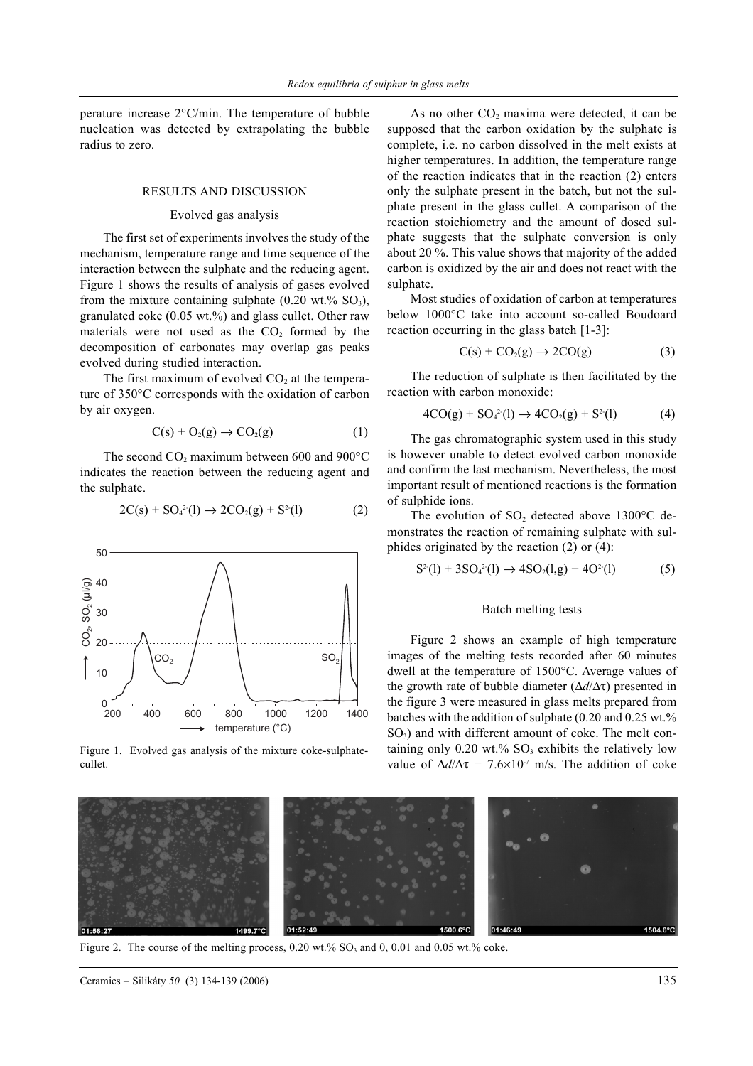perature increase 2°C/min. The temperature of bubble nucleation was detected by extrapolating the bubble radius to zero.

#### RESULTS AND DISCUSSION

## Evolved gas analysis

The first set of experiments involves the study of the mechanism, temperature range and time sequence of the interaction between the sulphate and the reducing agent. Figure 1 shows the results of analysis of gases evolved from the mixture containing sulphate  $(0.20 \text{ wt.}\% \text{ SO}_3)$ , granulated coke (0.05 wt.%) and glass cullet. Other raw materials were not used as the  $CO<sub>2</sub>$  formed by the decomposition of carbonates may overlap gas peaks evolved during studied interaction.

The first maximum of evolved  $CO<sub>2</sub>$  at the temperature of 350°C corresponds with the oxidation of carbon by air oxygen.

$$
C(s) + O_2(g) \rightarrow CO_2(g) \tag{1}
$$

The second  $CO<sub>2</sub>$  maximum between 600 and 900 $^{\circ}$ C indicates the reaction between the reducing agent and the sulphate.

$$
2C(s) + SO42(l) \to 2CO2(g) + S2(l)
$$
 (2)



Figure 1. Evolved gas analysis of the mixture coke-sulphatecullet.

As no other  $CO<sub>2</sub>$  maxima were detected, it can be supposed that the carbon oxidation by the sulphate is complete, i.e. no carbon dissolved in the melt exists at higher temperatures. In addition, the temperature range of the reaction indicates that in the reaction (2) enters only the sulphate present in the batch, but not the sulphate present in the glass cullet. A comparison of the reaction stoichiometry and the amount of dosed sulphate suggests that the sulphate conversion is only about 20 %. This value shows that majority of the added carbon is oxidized by the air and does not react with the sulphate.

Most studies of oxidation of carbon at temperatures below 1000°C take into account so-called Boudoard reaction occurring in the glass batch [1-3]:

$$
C(s) + CO2(g) \rightarrow 2CO(g)
$$
 (3)

The reduction of sulphate is then facilitated by the reaction with carbon monoxide:

$$
4CO(g) + SO42(l) \to 4CO2(g) + S2(l)
$$
 (4)

The gas chromatographic system used in this study is however unable to detect evolved carbon monoxide and confirm the last mechanism. Nevertheless, the most important result of mentioned reactions is the formation of sulphide ions.

The evolution of  $SO_2$  detected above 1300°C demonstrates the reaction of remaining sulphate with sulphides originated by the reaction (2) or (4):

$$
S^{2}(l) + 3SO_{4}^{2}(l) \rightarrow 4SO_{2}(l,g) + 4O^{2}(l)
$$
 (5)

## Batch melting tests

Figure 2 shows an example of high temperature images of the melting tests recorded after 60 minutes dwell at the temperature of 1500°C. Average values of the growth rate of bubble diameter (∆*d*/∆τ) presented in the figure 3 were measured in glass melts prepared from batches with the addition of sulphate  $(0.20 \text{ and } 0.25 \text{ wt.}\%)$  $SO<sub>3</sub>$ ) and with different amount of coke. The melt containing only  $0.20 \text{ wt.} \%$  SO<sub>3</sub> exhibits the relatively low value of  $\Delta d/\Delta \tau = 7.6 \times 10^{-7}$  m/s. The addition of coke



Figure 2. The course of the melting process,  $0.20 \text{ wt.}\%$  SO<sub>3</sub> and  $0, 0.01$  and  $0.05 \text{ wt.}\%$  coke.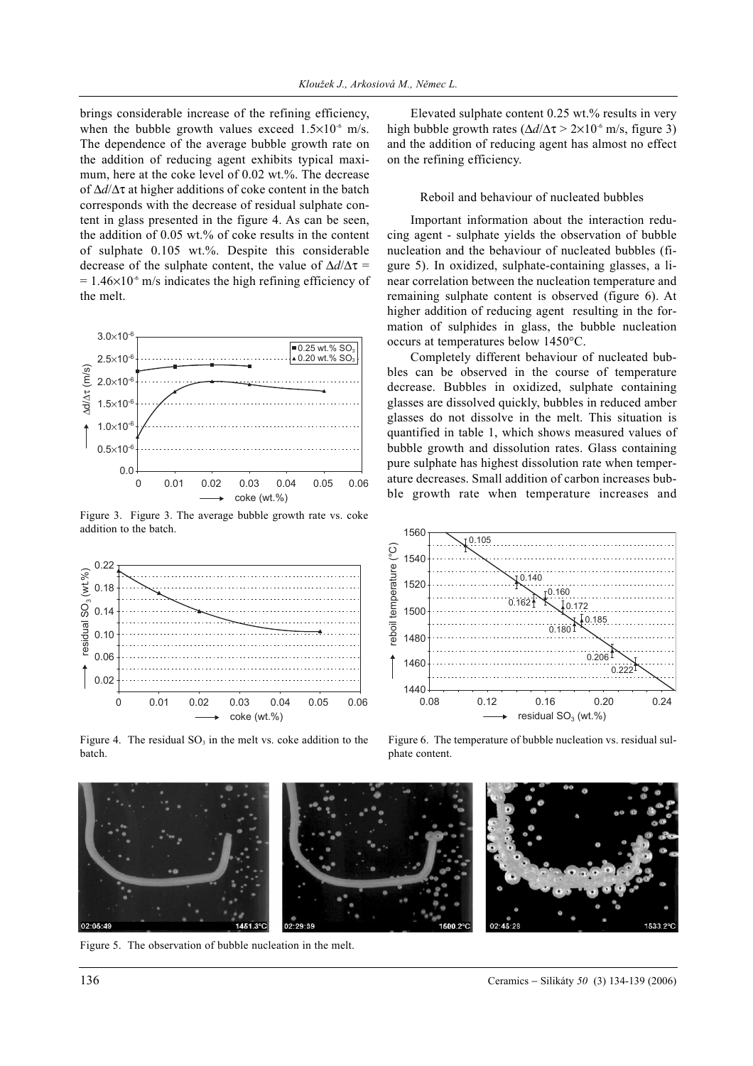brings considerable increase of the refining efficiency, when the bubble growth values exceed  $1.5 \times 10^{-6}$  m/s. The dependence of the average bubble growth rate on the addition of reducing agent exhibits typical maximum, here at the coke level of 0.02 wt.%. The decrease of ∆*d*/∆τ at higher additions of coke content in the batch corresponds with the decrease of residual sulphate content in glass presented in the figure 4. As can be seen, the addition of 0.05 wt.% of coke results in the content of sulphate 0.105 wt.%. Despite this considerable decrease of the sulphate content, the value of ∆*d*/∆τ =  $= 1.46 \times 10^{-6}$  m/s indicates the high refining efficiency of the melt.



Figure 3. Figure 3. The average bubble growth rate vs. coke addition to the batch.



Figure 4. The residual  $SO<sub>3</sub>$  in the melt vs. coke addition to the batch.

Elevated sulphate content 0.25 wt.% results in very high bubble growth rates (∆*d*/∆τ > 2×10-6 m/s, figure 3) and the addition of reducing agent has almost no effect on the refining efficiency.

## Reboil and behaviour of nucleated bubbles

Important information about the interaction reducing agent - sulphate yields the observation of bubble nucleation and the behaviour of nucleated bubbles (figure 5). In oxidized, sulphate-containing glasses, a linear correlation between the nucleation temperature and remaining sulphate content is observed (figure 6). At higher addition of reducing agent resulting in the formation of sulphides in glass, the bubble nucleation occurs at temperatures below 1450°C.

Completely different behaviour of nucleated bubbles can be observed in the course of temperature decrease. Bubbles in oxidized, sulphate containing glasses are dissolved quickly, bubbles in reduced amber glasses do not dissolve in the melt. This situation is quantified in table 1, which shows measured values of bubble growth and dissolution rates. Glass containing pure sulphate has highest dissolution rate when temperature decreases. Small addition of carbon increases bubble growth rate when temperature increases and



Figure 6. The temperature of bubble nucleation vs. residual sulphate content.

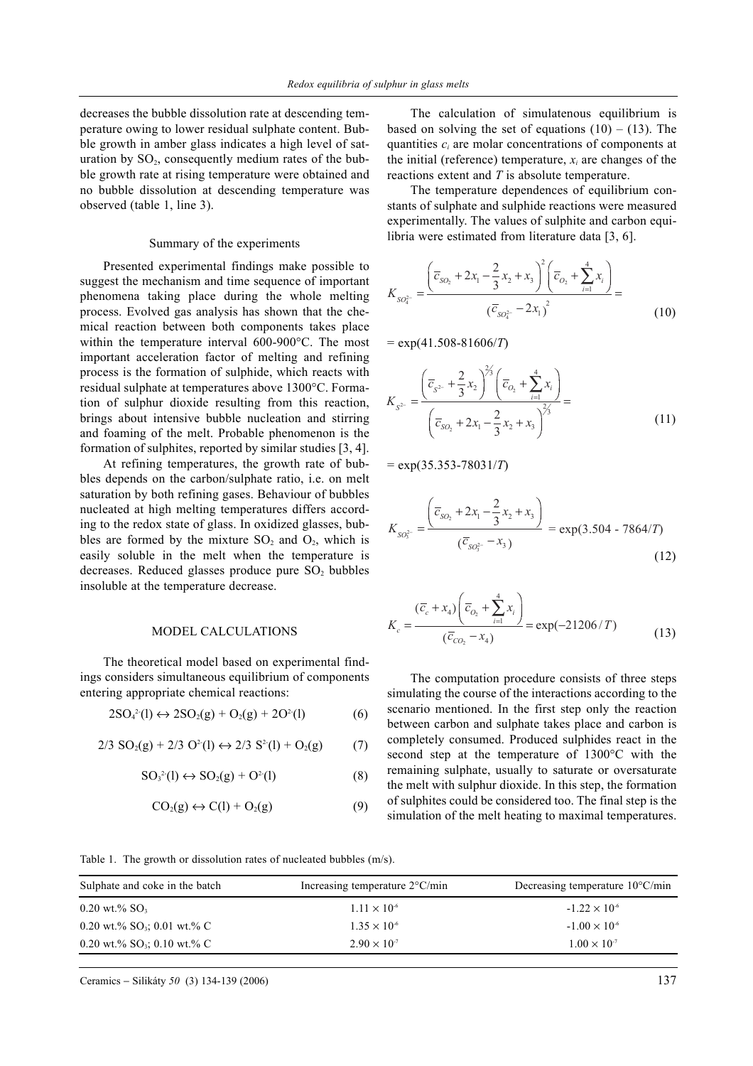decreases the bubble dissolution rate at descending temperature owing to lower residual sulphate content. Bubble growth in amber glass indicates a high level of saturation by  $SO_2$ , consequently medium rates of the bubble growth rate at rising temperature were obtained and no bubble dissolution at descending temperature was observed (table 1, line 3).

#### Summary of the experiments

Presented experimental findings make possible to suggest the mechanism and time sequence of important phenomena taking place during the whole melting process. Evolved gas analysis has shown that the chemical reaction between both components takes place within the temperature interval 600-900°C. The most important acceleration factor of melting and refining process is the formation of sulphide, which reacts with residual sulphate at temperatures above 1300°C. Formation of sulphur dioxide resulting from this reaction, brings about intensive bubble nucleation and stirring and foaming of the melt. Probable phenomenon is the formation of sulphites, reported by similar studies [3, 4].

At refining temperatures, the growth rate of bubbles depends on the carbon/sulphate ratio, i.e. on melt saturation by both refining gases. Behaviour of bubbles nucleated at high melting temperatures differs according to the redox state of glass. In oxidized glasses, bubbles are formed by the mixture  $SO_2$  and  $O_2$ , which is easily soluble in the melt when the temperature is decreases. Reduced glasses produce pure  $SO<sub>2</sub>$  bubbles insoluble at the temperature decrease.

#### MODEL CALCULATIONS

The theoretical model based on experimental findings considers simultaneous equilibrium of components entering appropriate chemical reactions:

$$
2SO_4^2(1) \leftrightarrow 2SO_2(g) + O_2(g) + 2O^2(1)
$$
 (6)

$$
2/3 \text{ SO}_2(g) + 2/3 \text{ O}^2(1) \leftrightarrow 2/3 \text{ S}^2(1) + \text{O}_2(g) \tag{7}
$$

$$
SO32(1) \leftrightarrow SO2(g) + O2(1)
$$
 (8)

$$
CO2(g) \leftrightarrow C(l) + O2(g)
$$
 (9)

The calculation of simulatenous equilibrium is based on solving the set of equations  $(10) - (13)$ . The quantities *ci* are molar concentrations of components at the initial (reference) temperature,  $x_i$  are changes of the reactions extent and *T* is absolute temperature.

The temperature dependences of equilibrium constants of sulphate and sulphide reactions were measured experimentally. The values of sulphite and carbon equilibria were estimated from literature data [3, 6].

$$
K_{SO_4^{2-}} = \frac{\left(\overline{c}_{SO_2} + 2x_1 - \frac{2}{3}x_2 + x_3\right)^2 \left(\overline{c}_{O_2} + \sum_{i=1}^4 x_i\right)}{\left(\overline{c}_{SO_4^{2-}} - 2x_1\right)^2} = \tag{10}
$$

= exp(41.508-81606/*T*)

$$
K_{S^{2-}} = \frac{\left(\overline{c}_{S^{2-}} + \frac{2}{3}x_2\right)^{2/3}\left(\overline{c}_{O_2} + \sum_{i=1}^4 x_i\right)}{\left(\overline{c}_{SO_2} + 2x_1 - \frac{2}{3}x_2 + x_3\right)^{2/3}} = (11)
$$

= exp(35.353-78031/*T*)

$$
K_{SO_3^{2-}} = \frac{\left(\overline{c}_{SO_2} + 2x_1 - \frac{2}{3}x_2 + x_3\right)}{\left(\overline{c}_{SO_3^{2-}} - x_3\right)} = \exp(3.504 - 7864/T)
$$
\n(12)

$$
K_c = \frac{(\overline{c}_c + x_4) \left(\overline{c}_{O_2} + \sum_{i=1}^4 x_i\right)}{(\overline{c}_{CO_2} - x_4)} = \exp(-21206/T) \tag{13}
$$

The computation procedure consists of three steps simulating the course of the interactions according to the scenario mentioned. In the first step only the reaction between carbon and sulphate takes place and carbon is completely consumed. Produced sulphides react in the second step at the temperature of 1300°C with the remaining sulphate, usually to saturate or oversaturate the melt with sulphur dioxide. In this step, the formation of sulphites could be considered too. The final step is the simulation of the melt heating to maximal temperatures.

Table 1. The growth or dissolution rates of nucleated bubbles (m/s).

| Sulphate and coke in the batch | Increasing temperature $2^{\circ}$ C/min | Decreasing temperature $10^{\circ}$ C/min |
|--------------------------------|------------------------------------------|-------------------------------------------|
| $0.20$ wt.% SO <sub>3</sub>    | $1.11 \times 10^{-6}$                    | $-1.22 \times 10^{-6}$                    |
| 0.20 wt.% $SO_3$ ; 0.01 wt.% C | $1.35 \times 10^{-6}$                    | $-1.00 \times 10^{-6}$                    |
| 0.20 wt.% $SO_3$ ; 0.10 wt.% C | $2.90 \times 10^{-7}$                    | $1.00 \times 10^{-7}$                     |

*K*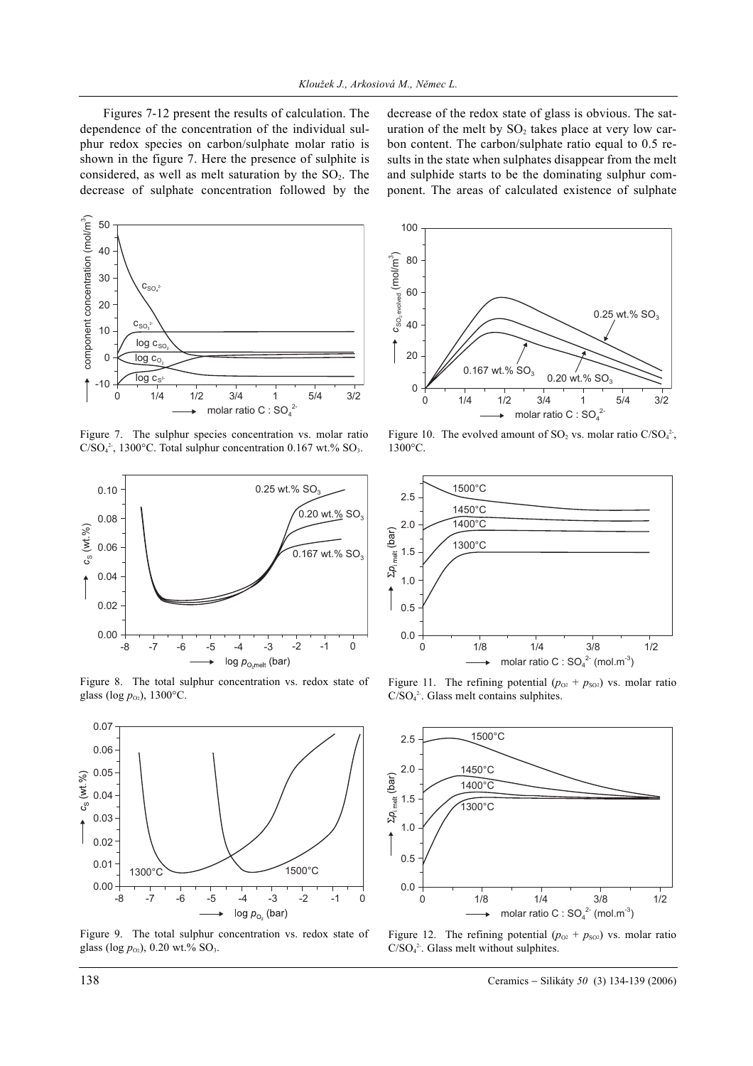Figures 7-12 present the results of calculation. The dependence of the concentration of the individual sulphur redox species on carbon/sulphate molar ratio is shown in the figure 7. Here the presence of sulphite is considered, as well as melt saturation by the  $SO<sub>2</sub>$ . The decrease of sulphate concentration followed by the

decrease of the redox state of glass is obvious. The saturation of the melt by  $SO<sub>2</sub>$  takes place at very low carbon content. The carbon/sulphate ratio equal to 0.5 results in the state when sulphates disappear from the melt and sulphide starts to be the dominating sulphur component. The areas of calculated existence of sulphate



Figure 7. The sulphur species concentration vs. molar ratio  $C/SO<sub>4</sub><sup>2</sup>$ , 1300°C. Total sulphur concentration 0.167 wt.% SO<sub>3</sub>.



Figure 8. The total sulphur concentration vs. redox state of glass (log  $p_{02}$ ), 1300°C.



Figure 9. The total sulphur concentration vs. redox state of glass (log  $p_{02}$ ), 0.20 wt.% SO<sub>3</sub>.



Figure 10. The evolved amount of  $SO_2$  vs. molar ratio  $C/SO_4^2$ , 1300°C.



Figure 11. The refining potential  $(p_{02} + p_{\text{SO2}})$  vs. molar ratio C/SO<sub>4</sub><sup>2</sup>. Glass melt contains sulphites.



Figure 12. The refining potential  $(p_{02} + p_{S02})$  vs. molar ratio  $C/SO<sub>4</sub><sup>2</sup>$ . Glass melt without sulphites.